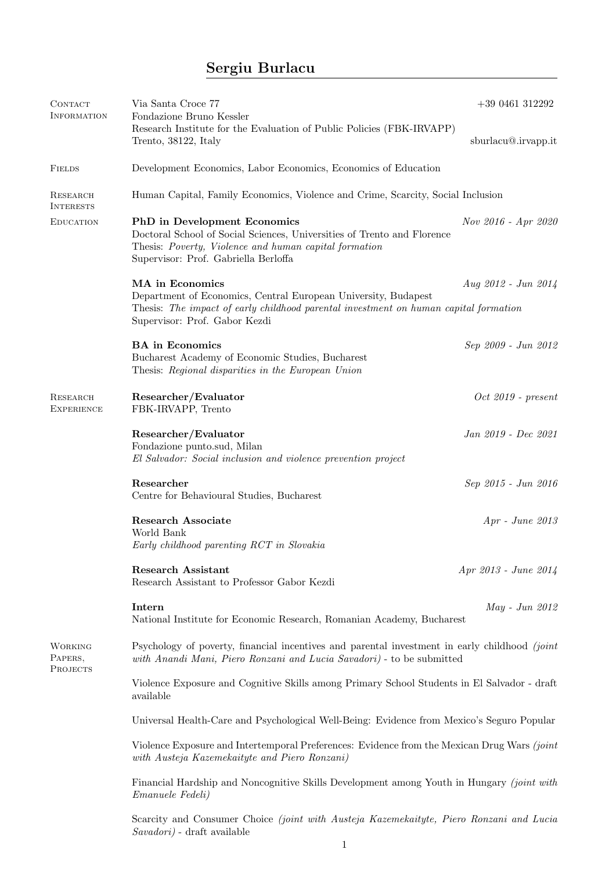## Sergiu Burlacu

| CONTACT<br><b>INFORMATION</b>                | Via Santa Croce 77<br>Fondazione Bruno Kessler                                                                                                                                                                  | $+390461312292$      |  |
|----------------------------------------------|-----------------------------------------------------------------------------------------------------------------------------------------------------------------------------------------------------------------|----------------------|--|
|                                              | Research Institute for the Evaluation of Public Policies (FBK-IRVAPP)<br>Trento, 38122, Italy                                                                                                                   | sburlacu@.irvapp.it  |  |
| <b>FIELDS</b>                                | Development Economics, Labor Economics, Economics of Education                                                                                                                                                  |                      |  |
| <b>RESEARCH</b><br><b>INTERESTS</b>          | Human Capital, Family Economics, Violence and Crime, Scarcity, Social Inclusion                                                                                                                                 |                      |  |
| <b>EDUCATION</b>                             | <b>PhD</b> in Development Economics<br>Doctoral School of Social Sciences, Universities of Trento and Florence<br>Thesis: Poverty, Violence and human capital formation<br>Supervisor: Prof. Gabriella Berloffa | Nov 2016 - Apr 2020  |  |
|                                              | MA in Economics                                                                                                                                                                                                 | Aug 2012 - Jun 2014  |  |
|                                              | Department of Economics, Central European University, Budapest<br>Thesis: The impact of early childhood parental investment on human capital formation<br>Supervisor: Prof. Gabor Kezdi                         |                      |  |
|                                              | <b>BA</b> in Economics<br>Bucharest Academy of Economic Studies, Bucharest<br>Thesis: Regional disparities in the European Union                                                                                | Sep 2009 - Jun 2012  |  |
| <b>RESEARCH</b><br><b>EXPERIENCE</b>         | Researcher/Evaluator<br>FBK-IRVAPP, Trento                                                                                                                                                                      | $Oct 2019$ - present |  |
|                                              | Researcher/Evaluator<br>Fondazione punto.sud, Milan<br>El Salvador: Social inclusion and violence prevention project                                                                                            | Jan 2019 - Dec 2021  |  |
|                                              | Researcher<br>Centre for Behavioural Studies, Bucharest                                                                                                                                                         | Sep 2015 - Jun 2016  |  |
|                                              | <b>Research Associate</b><br>World Bank<br>Early childhood parenting RCT in Slovakia                                                                                                                            | $Apr$ - June $2013$  |  |
|                                              | Research Assistant<br>Research Assistant to Professor Gabor Kezdi                                                                                                                                               | Apr 2013 - June 2014 |  |
|                                              | Intern<br>National Institute for Economic Research, Romanian Academy, Bucharest                                                                                                                                 | May - Jun 2012       |  |
| <b>WORKING</b><br>PAPERS,<br><b>PROJECTS</b> | Psychology of poverty, financial incentives and parental investment in early childhood (joint<br>with Anandi Mani, Piero Ronzani and Lucia Savadori) - to be submitted                                          |                      |  |
|                                              | Violence Exposure and Cognitive Skills among Primary School Students in El Salvador - draft<br>available                                                                                                        |                      |  |
|                                              | Universal Health-Care and Psychological Well-Being: Evidence from Mexico's Seguro Popular                                                                                                                       |                      |  |
|                                              | Violence Exposure and Intertemporal Preferences: Evidence from the Mexican Drug Wars (joint<br>with Austeja Kazemekaityte and Piero Ronzani)                                                                    |                      |  |
|                                              | Financial Hardship and Noncognitive Skills Development among Youth in Hungary (joint with<br>Emanuele Fedeli)                                                                                                   |                      |  |
|                                              | Scarcity and Consumer Choice (joint with Austeja Kazemekaityte, Piero Ronzani and Lucia<br>Savadori) - draft available                                                                                          |                      |  |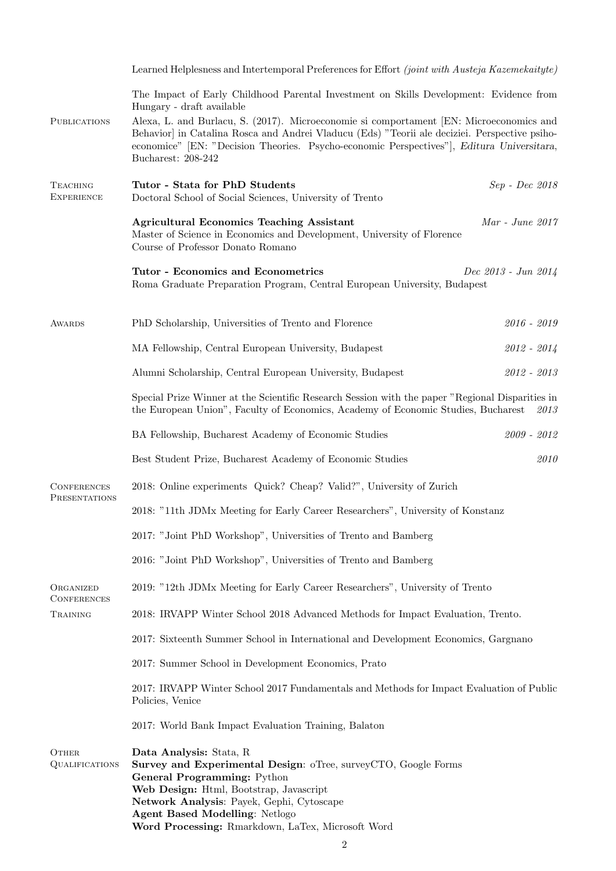|                                       | Learned Helplesness and Intertemporal Preferences for Effort <i>(joint with Austeja Kazemekaityte)</i>                                                                                                                                                                                                         |                   |  |
|---------------------------------------|----------------------------------------------------------------------------------------------------------------------------------------------------------------------------------------------------------------------------------------------------------------------------------------------------------------|-------------------|--|
|                                       | The Impact of Early Childhood Parental Investment on Skills Development: Evidence from<br>Hungary - draft available                                                                                                                                                                                            |                   |  |
| <b>PUBLICATIONS</b>                   | Alexa, L. and Burlacu, S. (2017). Microeconomie si comportament [EN: Microeconomics and<br>Behavior] in Catalina Rosca and Andrei Vladucu (Eds) "Teorii ale deciziei. Perspective psiho-<br>economice" [EN: "Decision Theories. Psycho-economic Perspectives"], Editura Universitara,<br>Bucharest: 208-242    |                   |  |
| <b>TEACHING</b><br><b>EXPERIENCE</b>  | Tutor - Stata for PhD Students<br>Doctoral School of Social Sciences, University of Trento                                                                                                                                                                                                                     | Sep - Dec 2018    |  |
|                                       | <b>Agricultural Economics Teaching Assistant</b><br>Master of Science in Economics and Development, University of Florence<br>Course of Professor Donato Romano                                                                                                                                                | $Mar$ - June 2017 |  |
|                                       | <b>Tutor - Economics and Econometrics</b><br>Dec 2013 - Jun 2014<br>Roma Graduate Preparation Program, Central European University, Budapest                                                                                                                                                                   |                   |  |
| AWARDS                                | PhD Scholarship, Universities of Trento and Florence                                                                                                                                                                                                                                                           | $2016 - 2019$     |  |
|                                       | MA Fellowship, Central European University, Budapest                                                                                                                                                                                                                                                           | $2012 - 2014$     |  |
|                                       | Alumni Scholarship, Central European University, Budapest                                                                                                                                                                                                                                                      | $2012 - 2013$     |  |
|                                       | Special Prize Winner at the Scientific Research Session with the paper "Regional Disparities in<br>the European Union", Faculty of Economics, Academy of Economic Studies, Bucharest<br>2013                                                                                                                   |                   |  |
|                                       | BA Fellowship, Bucharest Academy of Economic Studies                                                                                                                                                                                                                                                           | $2009 - 2012$     |  |
|                                       | Best Student Prize, Bucharest Academy of Economic Studies                                                                                                                                                                                                                                                      | 2010              |  |
| <b>CONFERENCES</b><br>PRESENTATIONS   | 2018: Online experiments Quick? Cheap? Valid?", University of Zurich                                                                                                                                                                                                                                           |                   |  |
|                                       | 2018: "11th JDMx Meeting for Early Career Researchers", University of Konstanz                                                                                                                                                                                                                                 |                   |  |
|                                       | 2017: "Joint PhD Workshop", Universities of Trento and Bamberg                                                                                                                                                                                                                                                 |                   |  |
|                                       | 2016: "Joint PhD Workshop", Universities of Trento and Bamberg                                                                                                                                                                                                                                                 |                   |  |
| ORGANIZED                             | 2019: "12th JDMx Meeting for Early Career Researchers", University of Trento                                                                                                                                                                                                                                   |                   |  |
| <b>CONFERENCES</b><br>TRAINING        | 2018: IRVAPP Winter School 2018 Advanced Methods for Impact Evaluation, Trento.                                                                                                                                                                                                                                |                   |  |
|                                       | 2017: Sixteenth Summer School in International and Development Economics, Gargnano                                                                                                                                                                                                                             |                   |  |
|                                       | 2017: Summer School in Development Economics, Prato                                                                                                                                                                                                                                                            |                   |  |
|                                       | 2017: IRVAPP Winter School 2017 Fundamentals and Methods for Impact Evaluation of Public<br>Policies, Venice                                                                                                                                                                                                   |                   |  |
|                                       | 2017: World Bank Impact Evaluation Training, Balaton                                                                                                                                                                                                                                                           |                   |  |
| <b>OTHER</b><br><b>QUALIFICATIONS</b> | Data Analysis: Stata, R<br>Survey and Experimental Design: oTree, surveyCTO, Google Forms<br>General Programming: Python<br>Web Design: Html, Bootstrap, Javascript<br>Network Analysis: Payek, Gephi, Cytoscape<br><b>Agent Based Modelling: Netlogo</b><br>Word Processing: Rmarkdown, LaTex, Microsoft Word |                   |  |